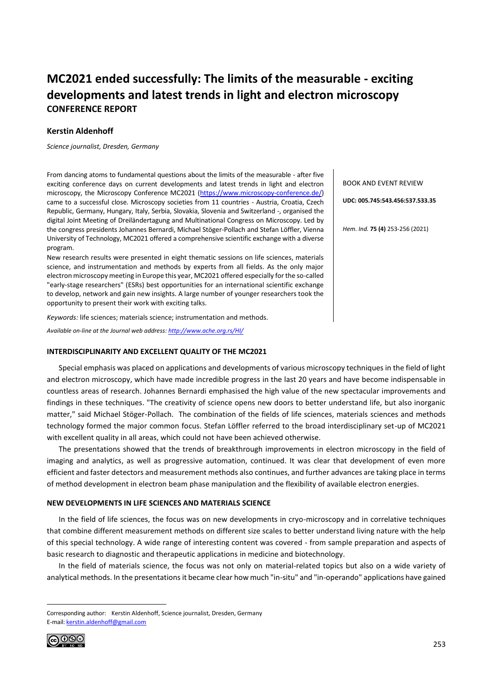## **MC2021 ended successfully: The limits of the measurable - exciting developments and latest trends in light and electron microscopy CONFERENCE REPORT**

## **Kerstin Aldenhoff**

*Science journalist, Dresden, Germany*

From dancing atoms to fundamental questions about the limits of the measurable - after five exciting conference days on current developments and latest trends in light and electron microscopy, the Microscopy Conference MC2021 [\(https://www.microscopy-conference.de/\)](https://www.microscopy-conference.de/) came to a successful close. Microscopy societies from 11 countries - Austria, Croatia, Czech Republic, Germany, Hungary, Italy, Serbia, Slovakia, Slovenia and Switzerland -, organised the digital Joint Meeting of Dreiländertagung and Multinational Congress on Microscopy. Led by the congress presidents Johannes Bernardi, Michael Stöger-Pollach and Stefan Löffler, Vienna University of Technology, MC2021 offered a comprehensive scientific exchange with a diverse program.

New research results were presented in eight thematic sessions on life sciences, materials science, and instrumentation and methods by experts from all fields. As the only major electron microscopy meeting in Europe this year, MC2021 offered especially for the so-called "early-stage researchers" (ESRs) best opportunities for an international scientific exchange to develop, network and gain new insights. A large number of younger researchers took the opportunity to present their work with exciting talks.

*Keywords:* life sciences; materials science; instrumentation and methods.

*Available on-line at the Journal web address[: http://www.ache.org.rs/HI/](http://www.ache.org.rs/HI/)*

#### **INTERDISCIPLINARITY AND EXCELLENT QUALITY OF THE MC2021**

Special emphasis was placed on applications and developments of various microscopy techniques in the field of light and electron microscopy, which have made incredible progress in the last 20 years and have become indispensable in countless areas of research. Johannes Bernardi emphasised the high value of the new spectacular improvements and findings in these techniques. "The creativity of science opens new doors to better understand life, but also inorganic matter," said Michael Stöger-Pollach. The combination of the fields of life sciences, materials sciences and methods technology formed the major common focus. Stefan Löffler referred to the broad interdisciplinary set-up of MC2021 with excellent quality in all areas, which could not have been achieved otherwise.

The presentations showed that the trends of breakthrough improvements in electron microscopy in the field of imaging and analytics, as well as progressive automation, continued. It was clear that development of even more efficient and faster detectors and measurement methods also continues, and further advances are taking place in terms of method development in electron beam phase manipulation and the flexibility of available electron energies.

#### **NEW DEVELOPMENTS IN LIFE SCIENCES AND MATERIALS SCIENCE**

In the field of life sciences, the focus was on new developments in cryo-microscopy and in correlative techniques that combine different measurement methods on different size scales to better understand living nature with the help of this special technology. A wide range of interesting content was covered - from sample preparation and aspects of basic research to diagnostic and therapeutic applications in medicine and biotechnology.

In the field of materials science, the focus was not only on material-related topics but also on a wide variety of analytical methods. In the presentations it became clear how much "in-situ" and "in-operando" applications have gained

Corresponding author: Kerstin Aldenhoff, Science journalist, Dresden, Germany E-mail: [kerstin.aldenhoff@gmail.com](mailto:kerstin.aldenhoff@gmail.com)



BOOK AND EVENT REVIEW

**UDC: 005.745:543.456:537.533.35**

*Hem. Ind.* **75 (4)** 253-256 (2021)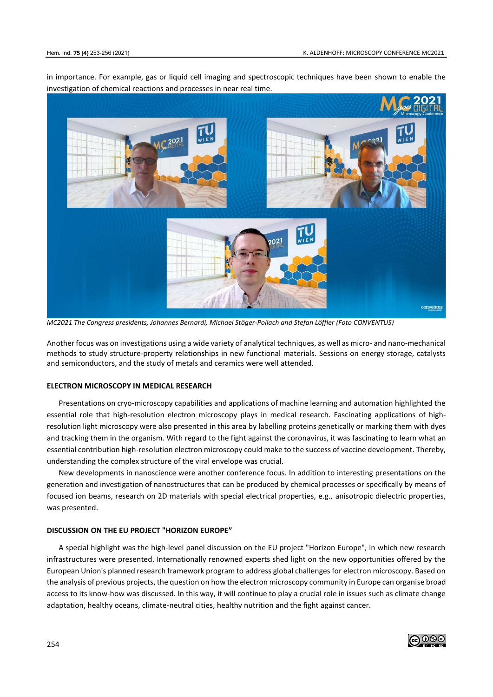in importance. For example, gas or liquid cell imaging and spectroscopic techniques have been shown to enable the investigation of chemical reactions and processes in near real time.



*MC2021 The Congress presidents, Johannes Bernardi, Michael Stöger-Pollach and Stefan Löffler (Foto CONVENTUS)*

Another focus was on investigations using a wide variety of analytical techniques, as well as micro- and nano-mechanical methods to study structure-property relationships in new functional materials. Sessions on energy storage, catalysts and semiconductors, and the study of metals and ceramics were well attended.

#### **ELECTRON MICROSCOPY IN MEDICAL RESEARCH**

Presentations on cryo-microscopy capabilities and applications of machine learning and automation highlighted the essential role that high-resolution electron microscopy plays in medical research. Fascinating applications of highresolution light microscopy were also presented in this area by labelling proteins genetically or marking them with dyes and tracking them in the organism. With regard to the fight against the coronavirus, it was fascinating to learn what an essential contribution high-resolution electron microscopy could make to the success of vaccine development. Thereby, understanding the complex structure of the viral envelope was crucial.

New developments in nanoscience were another conference focus. In addition to interesting presentations on the generation and investigation of nanostructures that can be produced by chemical processes or specifically by means of focused ion beams, research on 2D materials with special electrical properties, e.g., anisotropic dielectric properties, was presented.

#### **DISCUSSION ON THE EU PROJECT "HORIZON EUROPE"**

A special highlight was the high-level panel discussion on the EU project "Horizon Europe", in which new research infrastructures were presented. Internationally renowned experts shed light on the new opportunities offered by the European Union's planned research framework program to address global challenges for electron microscopy. Based on the analysis of previous projects, the question on how the electron microscopy community in Europe can organise broad access to its know-how was discussed. In this way, it will continue to play a crucial role in issues such as climate change adaptation, healthy oceans, climate-neutral cities, healthy nutrition and the fight against cancer.

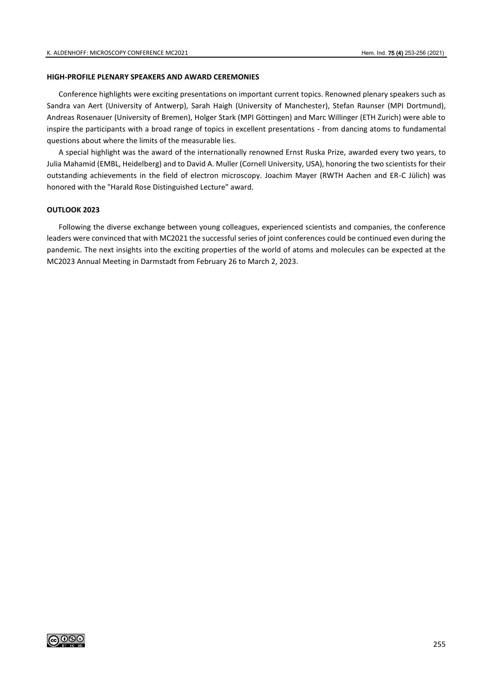#### **HIGH-PROFILE PLENARY SPEAKERS AND AWARD CEREMONIES**

Conference highlights were exciting presentations on important current topics. Renowned plenary speakers such as Sandra van Aert (University of Antwerp), Sarah Haigh (University of Manchester), Stefan Raunser (MPI Dortmund), Andreas Rosenauer (University of Bremen), Holger Stark (MPI Göttingen) and Marc Willinger (ETH Zurich) were able to inspire the participants with a broad range of topics in excellent presentations - from dancing atoms to fundamental questions about where the limits of the measurable lies.

A special highlight was the award of the internationally renowned Ernst Ruska Prize, awarded every two years, to Julia Mahamid (EMBL, Heidelberg) and to David A. Muller (Cornell University, USA), honoring the two scientists for their outstanding achievements in the field of electron microscopy. Joachim Mayer (RWTH Aachen and ER-C Jülich) was honored with the "Harald Rose Distinguished Lecture" award.

#### **OUTLOOK 2023**

Following the diverse exchange between young colleagues, experienced scientists and companies, the conference leaders were convinced that with MC2021 the successful series of joint conferences could be continued even during the pandemic. The next insights into the exciting properties of the world of atoms and molecules can be expected at the MC2023 Annual Meeting in Darmstadt from February 26 to March 2, 2023.